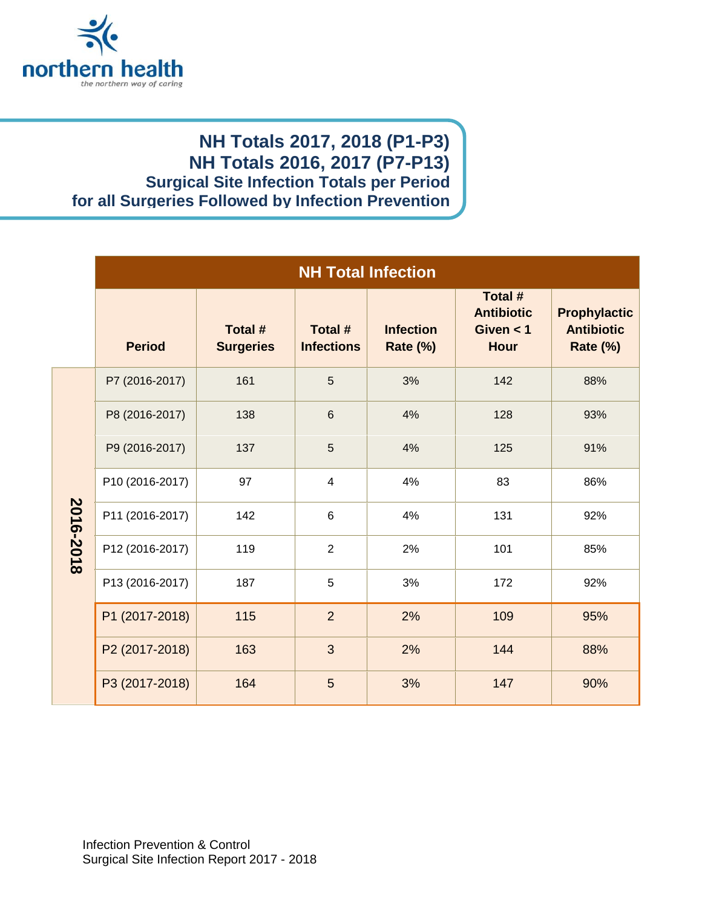

## **NH Totals 2017, 2018 (P1-P3) NH Totals 2016, 2017 (P7-P13) Surgical Site Infection Totals per Period for all Surgeries Followed by Infection Prevention**

|           | <b>NH Total Infection</b> |                             |                              |                                     |                                                            |                                                             |
|-----------|---------------------------|-----------------------------|------------------------------|-------------------------------------|------------------------------------------------------------|-------------------------------------------------------------|
|           | <b>Period</b>             | Total #<br><b>Surgeries</b> | Total #<br><b>Infections</b> | <b>Infection</b><br><b>Rate (%)</b> | Total #<br><b>Antibiotic</b><br>Given $<$ 1<br><b>Hour</b> | <b>Prophylactic</b><br><b>Antibiotic</b><br><b>Rate (%)</b> |
| 2016-2018 | P7 (2016-2017)            | 161                         | 5                            | 3%                                  | 142                                                        | 88%                                                         |
|           | P8 (2016-2017)            | 138                         | $6\phantom{1}$               | 4%                                  | 128                                                        | 93%                                                         |
|           | P9 (2016-2017)            | 137                         | 5                            | 4%                                  | 125                                                        | 91%                                                         |
|           | P10 (2016-2017)           | 97                          | $\overline{4}$               | 4%                                  | 83                                                         | 86%                                                         |
|           | P11 (2016-2017)           | 142                         | $6\phantom{1}$               | 4%                                  | 131                                                        | 92%                                                         |
|           | P12 (2016-2017)           | 119                         | $\overline{2}$               | 2%                                  | 101                                                        | 85%                                                         |
|           | P13 (2016-2017)           | 187                         | 5                            | 3%                                  | 172                                                        | 92%                                                         |
|           | P1 (2017-2018)            | 115                         | $\overline{2}$               | 2%                                  | 109                                                        | 95%                                                         |
|           | P2 (2017-2018)            | 163                         | 3                            | 2%                                  | 144                                                        | 88%                                                         |
|           | P3 (2017-2018)            | 164                         | 5                            | 3%                                  | 147                                                        | 90%                                                         |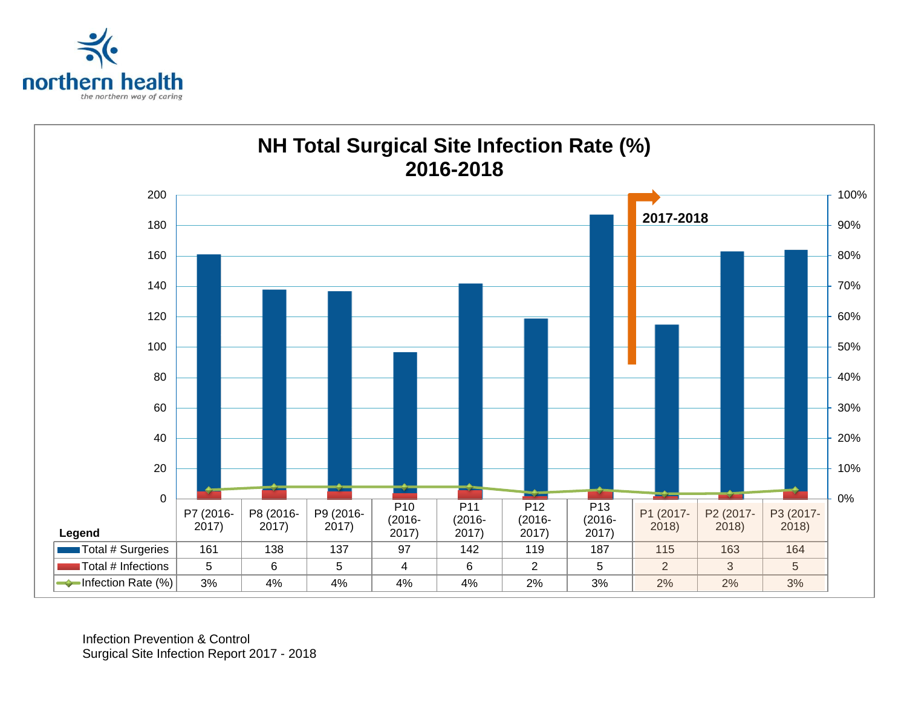